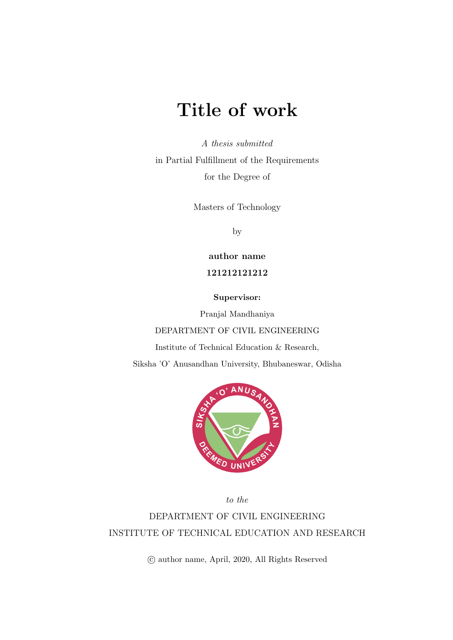## <span id="page-0-0"></span>Title of work

A thesis submitted

in Partial Fulfillment of the Requirements for the Degree of

Masters of Technology

by

author name 121212121212

Supervisor:

Pranjal Mandhaniya

#### DEPARTMENT OF CIVIL ENGINEERING

Institute of Technical Education & Research,

Siksha 'O' Anusandhan University, Bhubaneswar, Odisha



to the

DEPARTMENT OF CIVIL ENGINEERING INSTITUTE OF TECHNICAL EDUCATION AND RESEARCH

c author name, April, 2020, All Rights Reserved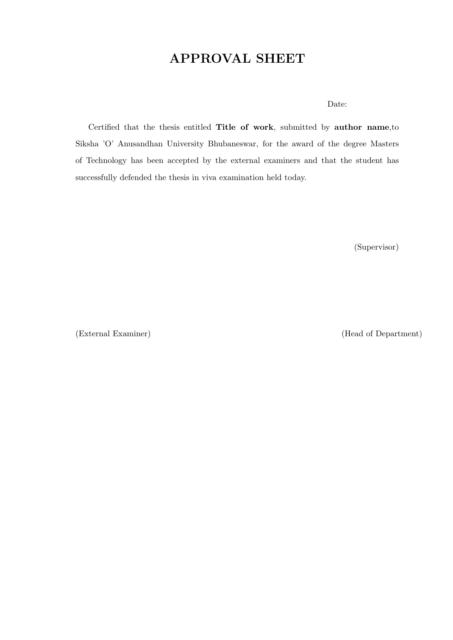## APPROVAL SHEET

#### Date:

Certified that the thesis entitled Title of work, submitted by author name,to Siksha 'O' Anusandhan University Bhubaneswar, for the award of the degree Masters of Technology has been accepted by the external examiners and that the student has successfully defended the thesis in viva examination held today.

(Supervisor)

(External Examiner) (Head of Department)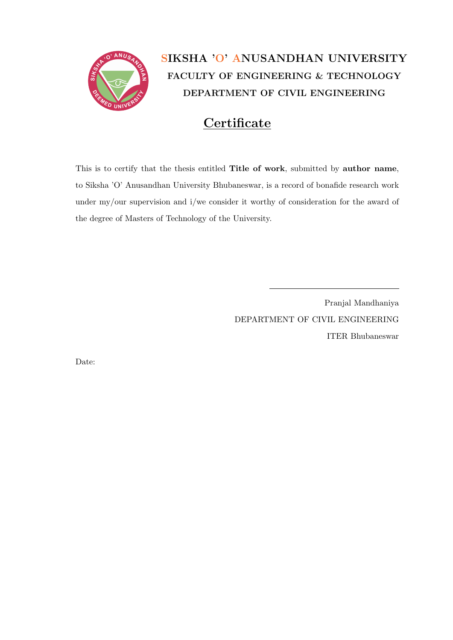

## SIKSHA 'O' ANUSANDHAN UNIVERSITY FACULTY OF ENGINEERING & TECHNOLOGY DEPARTMENT OF CIVIL ENGINEERING

## **Certificate**

This is to certify that the thesis entitled Title of work, submitted by author name, to Siksha 'O' Anusandhan University Bhubaneswar, is a record of bonafide research work under my/our supervision and i/we consider it worthy of consideration for the award of the degree of Masters of Technology of the University.

> Pranjal Mandhaniya DEPARTMENT OF CIVIL ENGINEERING ITER Bhubaneswar

Date: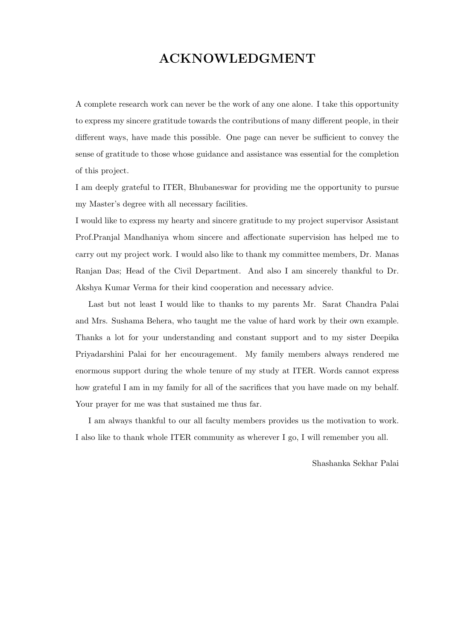#### ACKNOWLEDGMENT

A complete research work can never be the work of any one alone. I take this opportunity to express my sincere gratitude towards the contributions of many different people, in their different ways, have made this possible. One page can never be sufficient to convey the sense of gratitude to those whose guidance and assistance was essential for the completion of this project.

I am deeply grateful to ITER, Bhubaneswar for providing me the opportunity to pursue my Master's degree with all necessary facilities.

I would like to express my hearty and sincere gratitude to my project supervisor Assistant Prof.Pranjal Mandhaniya whom sincere and affectionate supervision has helped me to carry out my project work. I would also like to thank my committee members, Dr. Manas Ranjan Das; Head of the Civil Department. And also I am sincerely thankful to Dr. Akshya Kumar Verma for their kind cooperation and necessary advice.

Last but not least I would like to thanks to my parents Mr. Sarat Chandra Palai and Mrs. Sushama Behera, who taught me the value of hard work by their own example. Thanks a lot for your understanding and constant support and to my sister Deepika Priyadarshini Palai for her encouragement. My family members always rendered me enormous support during the whole tenure of my study at ITER. Words cannot express how grateful I am in my family for all of the sacrifices that you have made on my behalf. Your prayer for me was that sustained me thus far.

I am always thankful to our all faculty members provides us the motivation to work. I also like to thank whole ITER community as wherever I go, I will remember you all.

Shashanka Sekhar Palai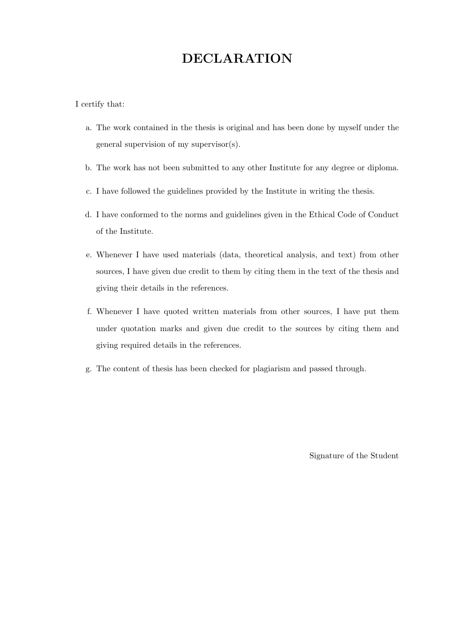### DECLARATION

I certify that:

- a. The work contained in the thesis is original and has been done by myself under the general supervision of my supervisor(s).
- b. The work has not been submitted to any other Institute for any degree or diploma.
- c. I have followed the guidelines provided by the Institute in writing the thesis.
- d. I have conformed to the norms and guidelines given in the Ethical Code of Conduct of the Institute.
- e. Whenever I have used materials (data, theoretical analysis, and text) from other sources, I have given due credit to them by citing them in the text of the thesis and giving their details in the references.
- f. Whenever I have quoted written materials from other sources, I have put them under quotation marks and given due credit to the sources by citing them and giving required details in the references.
- g. The content of thesis has been checked for plagiarism and passed through.

Signature of the Student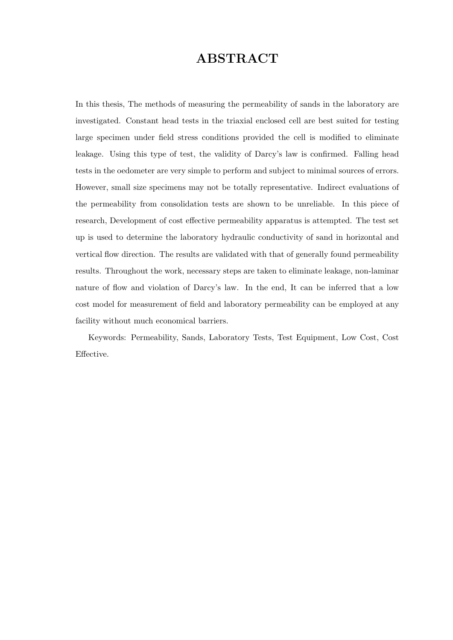#### ABSTRACT

In this thesis, The methods of measuring the permeability of sands in the laboratory are investigated. Constant head tests in the triaxial enclosed cell are best suited for testing large specimen under field stress conditions provided the cell is modified to eliminate leakage. Using this type of test, the validity of Darcy's law is confirmed. Falling head tests in the oedometer are very simple to perform and subject to minimal sources of errors. However, small size specimens may not be totally representative. Indirect evaluations of the permeability from consolidation tests are shown to be unreliable. In this piece of research, Development of cost effective permeability apparatus is attempted. The test set up is used to determine the laboratory hydraulic conductivity of sand in horizontal and vertical flow direction. The results are validated with that of generally found permeability results. Throughout the work, necessary steps are taken to eliminate leakage, non-laminar nature of flow and violation of Darcy's law. In the end, It can be inferred that a low cost model for measurement of field and laboratory permeability can be employed at any facility without much economical barriers.

Keywords: Permeability, Sands, Laboratory Tests, Test Equipment, Low Cost, Cost Effective.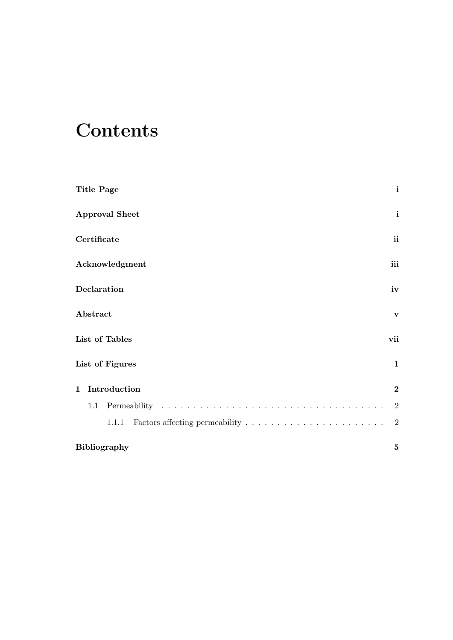# **Contents**

| Title Page            | $\mathbf{i}$   |
|-----------------------|----------------|
| <b>Approval Sheet</b> | $\mathbf{i}$   |
| Certificate           | ii             |
| Acknowledgment        | iii            |
| Declaration           | iv             |
| Abstract              | $\mathbf{V}$   |
| List of Tables        | vii            |
| List of Figures       | $\mathbf{1}$   |
| 1 Introduction        | $\bf{2}$       |
| 1.1                   | $\overline{2}$ |
| 1.1.1                 | $\overline{2}$ |
| <b>Bibliography</b>   | 5              |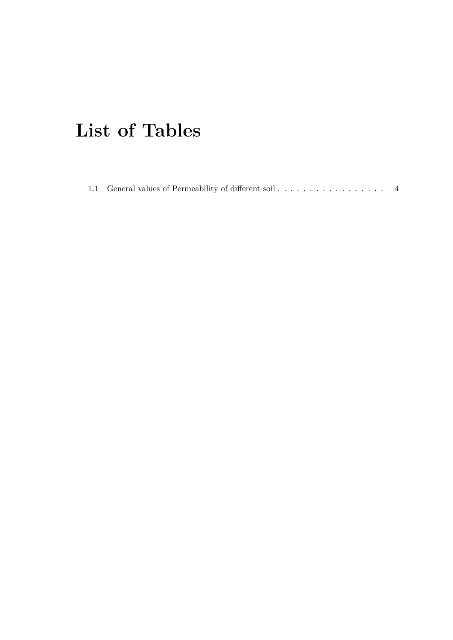# <span id="page-7-0"></span>List of Tables

|  | 1.1 General values of Permeability of different soil |
|--|------------------------------------------------------|
|  |                                                      |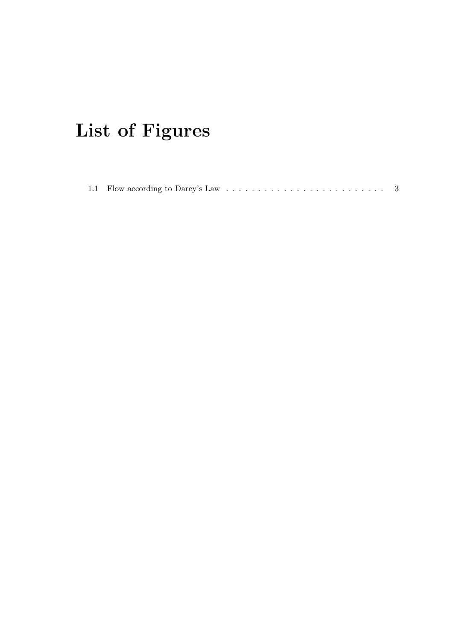# <span id="page-8-0"></span>List of Figures

|--|--|--|--|--|--|--|--|--|--|--|--|--|--|--|--|--|--|--|--|--|--|--|--|--|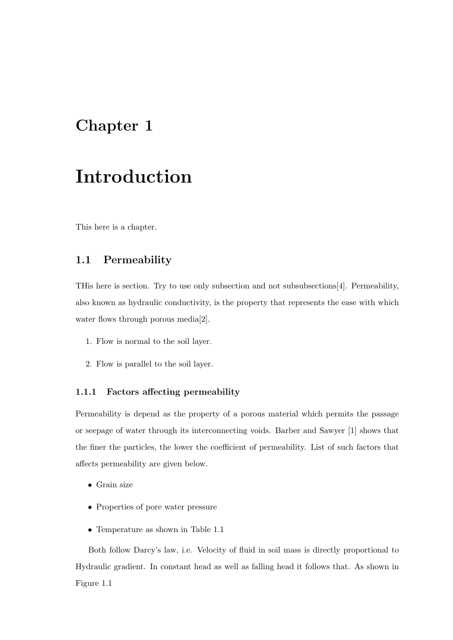## <span id="page-9-0"></span>Chapter 1

## Introduction

This here is a chapter.

#### <span id="page-9-1"></span>1.1 Permeability

THis here is section. Try to use only subsection and not subsubsections[\[4\]](#page-12-1). Permeability, also known as hydraulic conductivity, is the property that represents the ease with which water flows through porous media[\[2\]](#page-12-2).

- 1. Flow is normal to the soil layer.
- 2. Flow is parallel to the soil layer.

#### <span id="page-9-2"></span>1.1.1 Factors affecting permeability

Permeability is depend as the property of a porous material which permits the passage or seepage of water through its interconnecting voids. Barber and Sawyer [\[1\]](#page-12-3) shows that the finer the particles, the lower the coefficient of permeability. List of such factors that affects permeability are given below.

- Grain size
- Properties of pore water pressure
- Temperature as shown in Table [1.1](#page-11-0)

Both follow Darcy's law, i.e. Velocity of fluid in soil mass is directly proportional to Hydraulic gradient. In constant head as well as falling head it follows that. As shown in Figure [1.1](#page-10-0)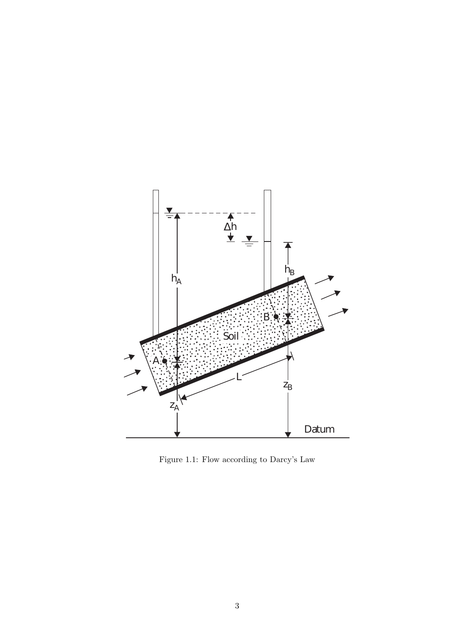

<span id="page-10-0"></span>Figure 1.1: Flow according to Darcy's Law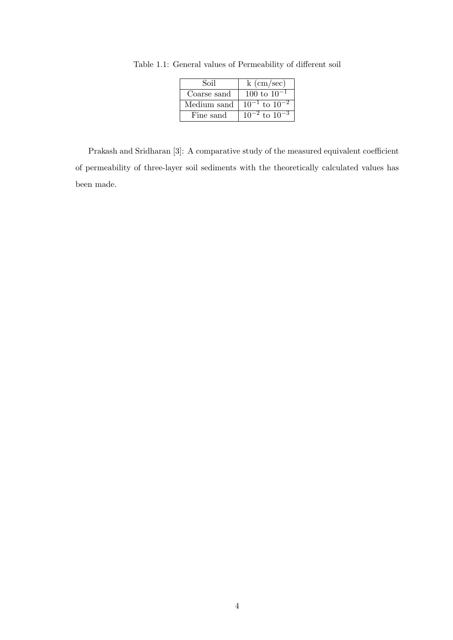<span id="page-11-0"></span>

| Soil        | $k \text{ (cm/sec)}$   |
|-------------|------------------------|
| Coarse sand | 100 to $10^{-1}$       |
| Medium sand | $10^{-1}$ to $10^{-2}$ |
| Fine sand   | $10^{-2}$ to $10^{-3}$ |

Table 1.1: General values of Permeability of different soil

Prakash and Sridharan [\[3\]](#page-12-4): A comparative study of the measured equivalent coefficient of permeability of three-layer soil sediments with the theoretically calculated values has been made.